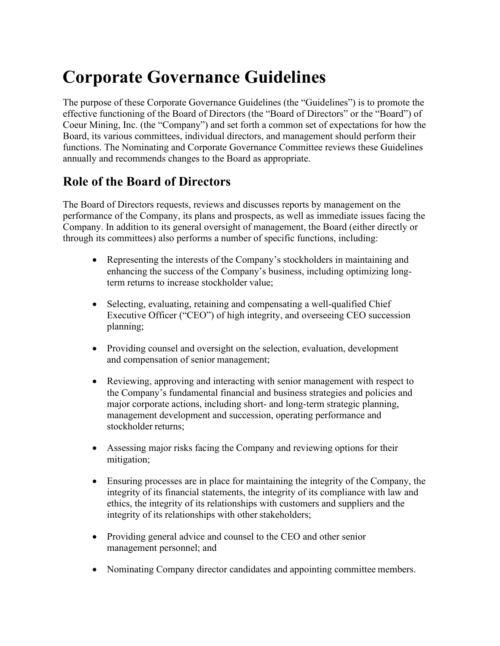# **Corporate Governance Guidelines**

The purpose of these Corporate Governance Guidelines (the "Guidelines") is to promote the effective functioning of the Board of Directors (the "Board of Directors" or the "Board") of Coeur Mining, Inc. (the "Company") and set forth a common set of expectations for how the Board, its various committees, individual directors, and management should perform their functions. The Nominating and Corporate Governance Committee reviews these Guidelines annually and recommends changes to the Board as appropriate.

### **Role of the Board of Directors**

The Board of Directors requests, reviews and discusses reports by management on the performance of the Company, its plans and prospects, as well as immediate issues facing the Company. In addition to its general oversight of management, the Board (either directly or through its committees) also performs a number of specific functions, including:

- Representing the interests of the Company's stockholders in maintaining and enhancing the success of the Company's business, including optimizing longterm returns to increase stockholder value;
- Selecting, evaluating, retaining and compensating a well-qualified Chief Executive Officer ("CEO") of high integrity, and overseeing CEO succession planning;
- Providing counsel and oversight on the selection, evaluation, development and compensation of senior management;
- Reviewing, approving and interacting with senior management with respect to the Company's fundamental financial and business strategies and policies and major corporate actions, including short- and long-term strategic planning, management development and succession, operating performance and stockholder returns;
- Assessing major risks facing the Company and reviewing options for their mitigation;
- Ensuring processes are in place for maintaining the integrity of the Company, the integrity of its financial statements, the integrity of its compliance with law and ethics, the integrity of its relationships with customers and suppliers and the integrity of its relationships with other stakeholders;
- Providing general advice and counsel to the CEO and other senior management personnel; and
- Nominating Company director candidates and appointing committee members.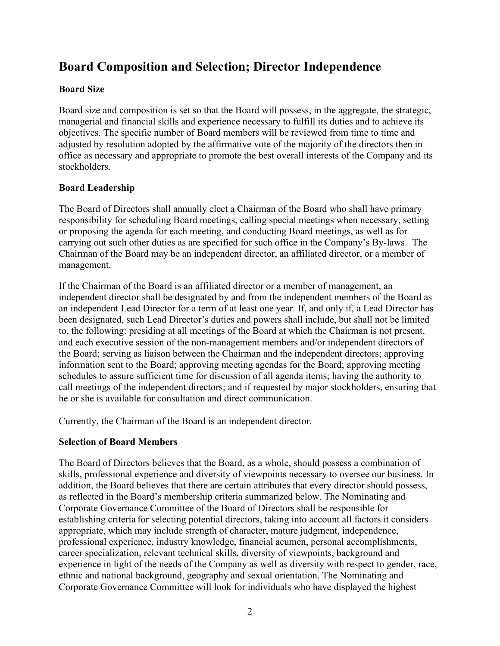# **Board Composition and Selection; Director Independence**

#### **Board Size**

Board size and composition is set so that the Board will possess, in the aggregate, the strategic, managerial and financial skills and experience necessary to fulfill its duties and to achieve its objectives. The specific number of Board members will be reviewed from time to time and adjusted by resolution adopted by the affirmative vote of the majority of the directors then in office as necessary and appropriate to promote the best overall interests of the Company and its stockholders.

#### **Board Leadership**

The Board of Directors shall annually elect a Chairman of the Board who shall have primary responsibility for scheduling Board meetings, calling special meetings when necessary, setting or proposing the agenda for each meeting, and conducting Board meetings, as well as for carrying out such other duties as are specified for such office in the Company's By-laws. The Chairman of the Board may be an independent director, an affiliated director, or a member of management.

If the Chairman of the Board is an affiliated director or a member of management, an independent director shall be designated by and from the independent members of the Board as an independent Lead Director for a term of at least one year. If, and only if, a Lead Director has been designated, such Lead Director's duties and powers shall include, but shall not be limited to, the following: presiding at all meetings of the Board at which the Chairman is not present, and each executive session of the non-management members and/or independent directors of the Board; serving as liaison between the Chairman and the independent directors; approving information sent to the Board; approving meeting agendas for the Board; approving meeting schedules to assure sufficient time for discussion of all agenda items; having the authority to call meetings of the independent directors; and if requested by major stockholders, ensuring that he or she is available for consultation and direct communication.

Currently, the Chairman of the Board is an independent director.

#### **Selection of Board Members**

The Board of Directors believes that the Board, as a whole, should possess a combination of skills, professional experience and diversity of viewpoints necessary to oversee our business. In addition, the Board believes that there are certain attributes that every director should possess, as reflected in the Board's membership criteria summarized below. The Nominating and Corporate Governance Committee of the Board of Directors shall be responsible for establishing criteria for selecting potential directors, taking into account all factors it considers appropriate, which may include strength of character, mature judgment, independence, professional experience, industry knowledge, financial acumen, personal accomplishments, career specialization, relevant technical skills, diversity of viewpoints, background and experience in light of the needs of the Company as well as diversity with respect to gender, race, ethnic and national background, geography and sexual orientation. The Nominating and Corporate Governance Committee will look for individuals who have displayed the highest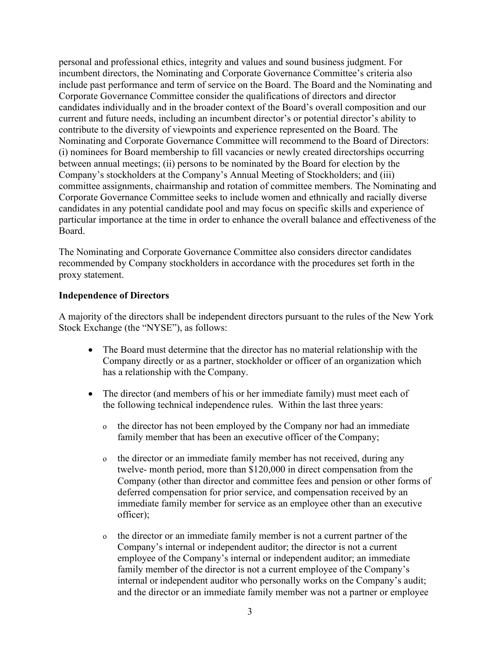personal and professional ethics, integrity and values and sound business judgment. For incumbent directors, the Nominating and Corporate Governance Committee's criteria also include past performance and term of service on the Board. The Board and the Nominating and Corporate Governance Committee consider the qualifications of directors and director candidates individually and in the broader context of the Board's overall composition and our current and future needs, including an incumbent director's or potential director's ability to contribute to the diversity of viewpoints and experience represented on the Board. The Nominating and Corporate Governance Committee will recommend to the Board of Directors: (i) nominees for Board membership to fill vacancies or newly created directorships occurring between annual meetings; (ii) persons to be nominated by the Board for election by the Company's stockholders at the Company's Annual Meeting of Stockholders; and (iii) committee assignments, chairmanship and rotation of committee members. The Nominating and Corporate Governance Committee seeks to include women and ethnically and racially diverse candidates in any potential candidate pool and may focus on specific skills and experience of particular importance at the time in order to enhance the overall balance and effectiveness of the Board.

The Nominating and Corporate Governance Committee also considers director candidates recommended by Company stockholders in accordance with the procedures set forth in the proxy statement.

#### **Independence of Directors**

A majority of the directors shall be independent directors pursuant to the rules of the New York Stock Exchange (the "NYSE"), as follows:

- The Board must determine that the director has no material relationship with the Company directly or as a partner, stockholder or officer of an organization which has a relationship with the Company.
- The director (and members of his or her immediate family) must meet each of the following technical independence rules. Within the last three years:
	- o the director has not been employed by the Company nor had an immediate family member that has been an executive officer of the Company;
	- o the director or an immediate family member has not received, during any twelve- month period, more than \$120,000 in direct compensation from the Company (other than director and committee fees and pension or other forms of deferred compensation for prior service, and compensation received by an immediate family member for service as an employee other than an executive officer);
	- o the director or an immediate family member is not a current partner of the Company's internal or independent auditor; the director is not a current employee of the Company's internal or independent auditor; an immediate family member of the director is not a current employee of the Company's internal or independent auditor who personally works on the Company's audit; and the director or an immediate family member was not a partner or employee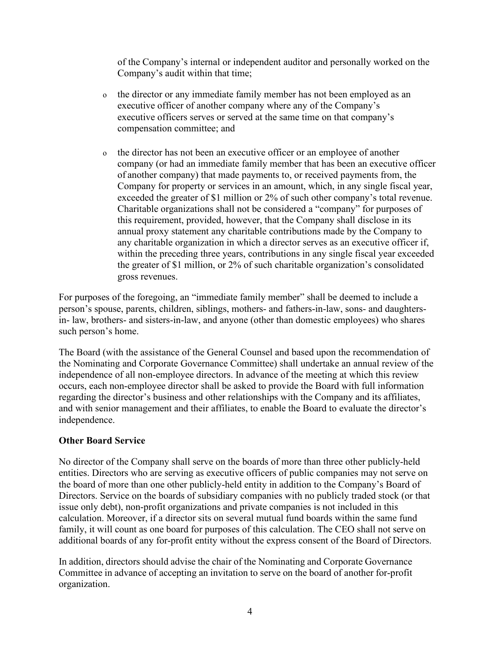of the Company's internal or independent auditor and personally worked on the Company's audit within that time;

- o the director or any immediate family member has not been employed as an executive officer of another company where any of the Company's executive officers serves or served at the same time on that company's compensation committee; and
- o the director has not been an executive officer or an employee of another company (or had an immediate family member that has been an executive officer of another company) that made payments to, or received payments from, the Company for property or services in an amount, which, in any single fiscal year, exceeded the greater of \$1 million or 2% of such other company's total revenue. Charitable organizations shall not be considered a "company" for purposes of this requirement, provided, however, that the Company shall disclose in its annual proxy statement any charitable contributions made by the Company to any charitable organization in which a director serves as an executive officer if, within the preceding three years, contributions in any single fiscal year exceeded the greater of \$1 million, or 2% of such charitable organization's consolidated gross revenues.

For purposes of the foregoing, an "immediate family member" shall be deemed to include a person's spouse, parents, children, siblings, mothers- and fathers-in-law, sons- and daughtersin- law, brothers- and sisters-in-law, and anyone (other than domestic employees) who shares such person's home.

The Board (with the assistance of the General Counsel and based upon the recommendation of the Nominating and Corporate Governance Committee) shall undertake an annual review of the independence of all non-employee directors. In advance of the meeting at which this review occurs, each non-employee director shall be asked to provide the Board with full information regarding the director's business and other relationships with the Company and its affiliates, and with senior management and their affiliates, to enable the Board to evaluate the director's independence.

#### **Other Board Service**

No director of the Company shall serve on the boards of more than three other publicly-held entities. Directors who are serving as executive officers of public companies may not serve on the board of more than one other publicly-held entity in addition to the Company's Board of Directors. Service on the boards of subsidiary companies with no publicly traded stock (or that issue only debt), non-profit organizations and private companies is not included in this calculation. Moreover, if a director sits on several mutual fund boards within the same fund family, it will count as one board for purposes of this calculation. The CEO shall not serve on additional boards of any for-profit entity without the express consent of the Board of Directors.

In addition, directors should advise the chair of the Nominating and Corporate Governance Committee in advance of accepting an invitation to serve on the board of another for-profit organization.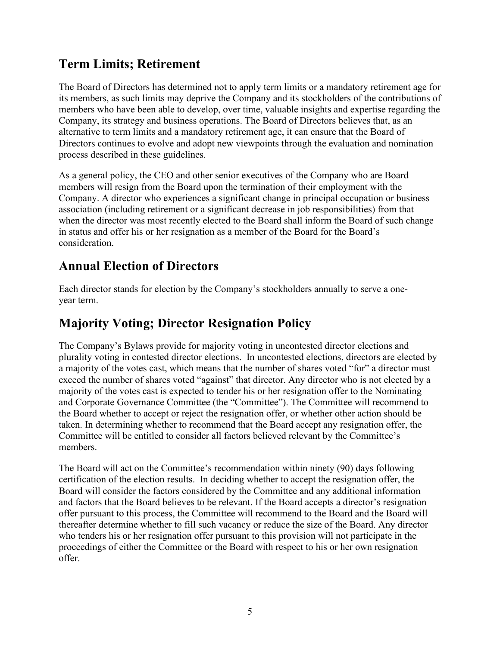# **Term Limits; Retirement**

The Board of Directors has determined not to apply term limits or a mandatory retirement age for its members, as such limits may deprive the Company and its stockholders of the contributions of members who have been able to develop, over time, valuable insights and expertise regarding the Company, its strategy and business operations. The Board of Directors believes that, as an alternative to term limits and a mandatory retirement age, it can ensure that the Board of Directors continues to evolve and adopt new viewpoints through the evaluation and nomination process described in these guidelines.

As a general policy, the CEO and other senior executives of the Company who are Board members will resign from the Board upon the termination of their employment with the Company. A director who experiences a significant change in principal occupation or business association (including retirement or a significant decrease in job responsibilities) from that when the director was most recently elected to the Board shall inform the Board of such change in status and offer his or her resignation as a member of the Board for the Board's consideration.

# **Annual Election of Directors**

Each director stands for election by the Company's stockholders annually to serve a oneyear term.

# **Majority Voting; Director Resignation Policy**

The Company's Bylaws provide for majority voting in uncontested director elections and plurality voting in contested director elections. In uncontested elections, directors are elected by a majority of the votes cast, which means that the number of shares voted "for" a director must exceed the number of shares voted "against" that director. Any director who is not elected by a majority of the votes cast is expected to tender his or her resignation offer to the Nominating and Corporate Governance Committee (the "Committee"). The Committee will recommend to the Board whether to accept or reject the resignation offer, or whether other action should be taken. In determining whether to recommend that the Board accept any resignation offer, the Committee will be entitled to consider all factors believed relevant by the Committee's members.

The Board will act on the Committee's recommendation within ninety (90) days following certification of the election results. In deciding whether to accept the resignation offer, the Board will consider the factors considered by the Committee and any additional information and factors that the Board believes to be relevant. If the Board accepts a director's resignation offer pursuant to this process, the Committee will recommend to the Board and the Board will thereafter determine whether to fill such vacancy or reduce the size of the Board. Any director who tenders his or her resignation offer pursuant to this provision will not participate in the proceedings of either the Committee or the Board with respect to his or her own resignation offer.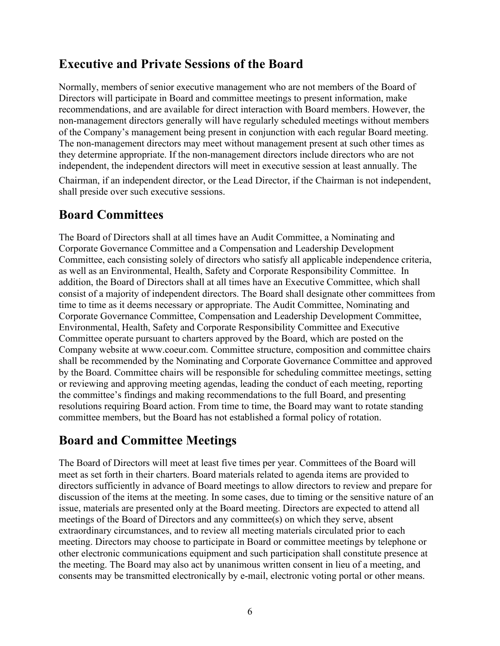### **Executive and Private Sessions of the Board**

Normally, members of senior executive management who are not members of the Board of Directors will participate in Board and committee meetings to present information, make recommendations, and are available for direct interaction with Board members. However, the non-management directors generally will have regularly scheduled meetings without members of the Company's management being present in conjunction with each regular Board meeting. The non-management directors may meet without management present at such other times as they determine appropriate. If the non-management directors include directors who are not independent, the independent directors will meet in executive session at least annually. The

Chairman, if an independent director, or the Lead Director, if the Chairman is not independent, shall preside over such executive sessions.

# **Board Committees**

The Board of Directors shall at all times have an Audit Committee, a Nominating and Corporate Governance Committee and a Compensation and Leadership Development Committee, each consisting solely of directors who satisfy all applicable independence criteria, as well as an Environmental, Health, Safety and Corporate Responsibility Committee. In addition, the Board of Directors shall at all times have an Executive Committee, which shall consist of a majority of independent directors. The Board shall designate other committees from time to time as it deems necessary or appropriate. The Audit Committee, Nominating and Corporate Governance Committee, Compensation and Leadership Development Committee, Environmental, Health, Safety and Corporate Responsibility Committee and Executive Committee operate pursuant to charters approved by the Board, which are posted on the Company website at [www.coeur.com.](http://www.coeur.com/) Committee structure, composition and committee chairs shall be recommended by the Nominating and Corporate Governance Committee and approved by the Board. Committee chairs will be responsible for scheduling committee meetings, setting or reviewing and approving meeting agendas, leading the conduct of each meeting, reporting the committee's findings and making recommendations to the full Board, and presenting resolutions requiring Board action. From time to time, the Board may want to rotate standing committee members, but the Board has not established a formal policy of rotation.

# **Board and Committee Meetings**

The Board of Directors will meet at least five times per year. Committees of the Board will meet as set forth in their charters. Board materials related to agenda items are provided to directors sufficiently in advance of Board meetings to allow directors to review and prepare for discussion of the items at the meeting. In some cases, due to timing or the sensitive nature of an issue, materials are presented only at the Board meeting. Directors are expected to attend all meetings of the Board of Directors and any committee(s) on which they serve, absent extraordinary circumstances, and to review all meeting materials circulated prior to each meeting. Directors may choose to participate in Board or committee meetings by telephone or other electronic communications equipment and such participation shall constitute presence at the meeting. The Board may also act by unanimous written consent in lieu of a meeting, and consents may be transmitted electronically by e-mail, electronic voting portal or other means.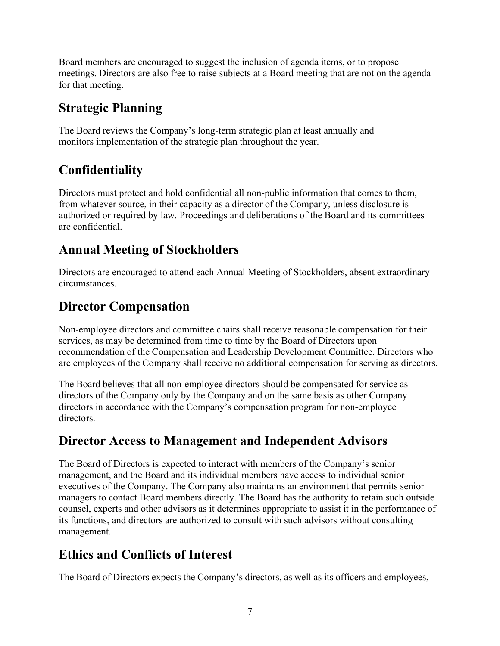Board members are encouraged to suggest the inclusion of agenda items, or to propose meetings. Directors are also free to raise subjects at a Board meeting that are not on the agenda for that meeting.

### **Strategic Planning**

The Board reviews the Company's long-term strategic plan at least annually and monitors implementation of the strategic plan throughout the year.

# **Confidentiality**

Directors must protect and hold confidential all non-public information that comes to them, from whatever source, in their capacity as a director of the Company, unless disclosure is authorized or required by law. Proceedings and deliberations of the Board and its committees are confidential.

# **Annual Meeting of Stockholders**

Directors are encouraged to attend each Annual Meeting of Stockholders, absent extraordinary circumstances.

# **Director Compensation**

Non-employee directors and committee chairs shall receive reasonable compensation for their services, as may be determined from time to time by the Board of Directors upon recommendation of the Compensation and Leadership Development Committee. Directors who are employees of the Company shall receive no additional compensation for serving as directors.

The Board believes that all non-employee directors should be compensated for service as directors of the Company only by the Company and on the same basis as other Company directors in accordance with the Company's compensation program for non-employee directors.

# **Director Access to Management and Independent Advisors**

The Board of Directors is expected to interact with members of the Company's senior management, and the Board and its individual members have access to individual senior executives of the Company. The Company also maintains an environment that permits senior managers to contact Board members directly. The Board has the authority to retain such outside counsel, experts and other advisors as it determines appropriate to assist it in the performance of its functions, and directors are authorized to consult with such advisors without consulting management.

# **Ethics and Conflicts of Interest**

The Board of Directors expects the Company's directors, as well as its officers and employees,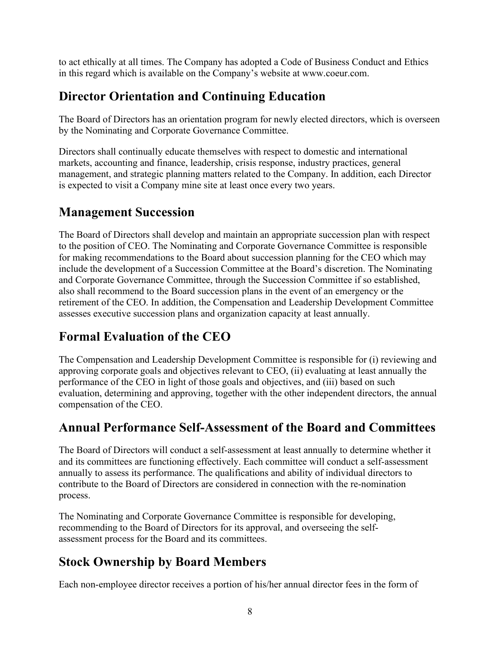to act ethically at all times. The Company has adopted a Code of Business Conduct and Ethics in this regard which is available on the Company's website at [www.coeur.com.](http://www.coeur.com/)

# **Director Orientation and Continuing Education**

The Board of Directors has an orientation program for newly elected directors, which is overseen by the Nominating and Corporate Governance Committee.

Directors shall continually educate themselves with respect to domestic and international markets, accounting and finance, leadership, crisis response, industry practices, general management, and strategic planning matters related to the Company. In addition, each Director is expected to visit a Company mine site at least once every two years.

# **Management Succession**

The Board of Directors shall develop and maintain an appropriate succession plan with respect to the position of CEO. The Nominating and Corporate Governance Committee is responsible for making recommendations to the Board about succession planning for the CEO which may include the development of a Succession Committee at the Board's discretion. The Nominating and Corporate Governance Committee, through the Succession Committee if so established, also shall recommend to the Board succession plans in the event of an emergency or the retirement of the CEO. In addition, the Compensation and Leadership Development Committee assesses executive succession plans and organization capacity at least annually.

# **Formal Evaluation of the CEO**

The Compensation and Leadership Development Committee is responsible for (i) reviewing and approving corporate goals and objectives relevant to CEO, (ii) evaluating at least annually the performance of the CEO in light of those goals and objectives, and (iii) based on such evaluation, determining and approving, together with the other independent directors, the annual compensation of the CEO.

# **Annual Performance Self-Assessment of the Board and Committees**

The Board of Directors will conduct a self-assessment at least annually to determine whether it and its committees are functioning effectively. Each committee will conduct a self-assessment annually to assess its performance. The qualifications and ability of individual directors to contribute to the Board of Directors are considered in connection with the re-nomination process.

The Nominating and Corporate Governance Committee is responsible for developing, recommending to the Board of Directors for its approval, and overseeing the selfassessment process for the Board and its committees.

# **Stock Ownership by Board Members**

Each non-employee director receives a portion of his/her annual director fees in the form of